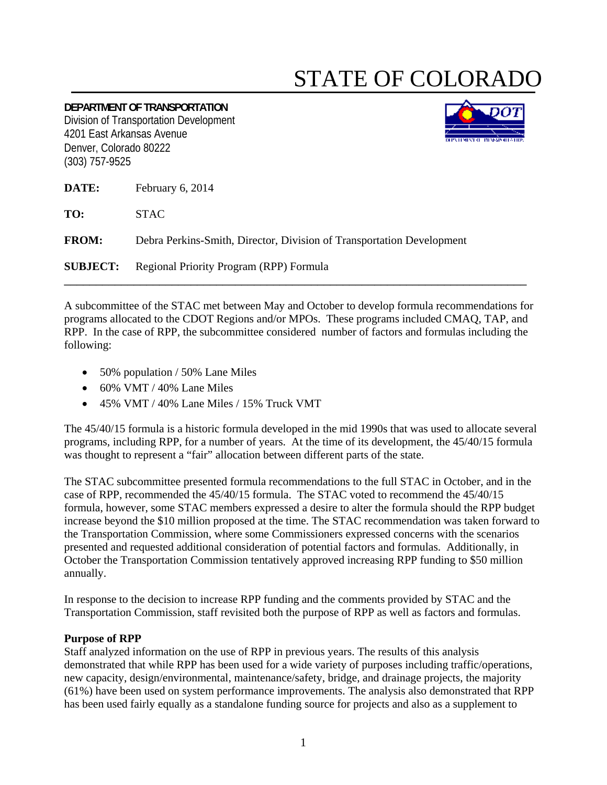## STATE OF COLORADO

**DEPARTMENT OF TRANSPORTATION** Division of Transportation Development 4201 East Arkansas Avenue Denver, Colorado 80222 (303) 757-9525



**DATE:** February 6, 2014

**TO:** STAC

**FROM:** Debra Perkins-Smith, Director, Division of Transportation Development

**SUBJECT:** Regional Priority Program (RPP) Formula

A subcommittee of the STAC met between May and October to develop formula recommendations for programs allocated to the CDOT Regions and/or MPOs. These programs included CMAQ, TAP, and RPP. In the case of RPP, the subcommittee considered number of factors and formulas including the following:

\_\_\_\_\_\_\_\_\_\_\_\_\_\_\_\_\_\_\_\_\_\_\_\_\_\_\_\_\_\_\_\_\_\_\_\_\_\_\_\_\_\_\_\_\_\_\_\_\_\_\_\_\_\_\_\_\_\_\_\_\_\_\_\_\_\_\_\_\_\_\_\_\_

- 50% population / 50% Lane Miles
- $\bullet$  60% VMT / 40% Lane Miles
- 45% VMT / 40% Lane Miles / 15% Truck VMT

The 45/40/15 formula is a historic formula developed in the mid 1990s that was used to allocate several programs, including RPP, for a number of years. At the time of its development, the 45/40/15 formula was thought to represent a "fair" allocation between different parts of the state.

The STAC subcommittee presented formula recommendations to the full STAC in October, and in the case of RPP, recommended the 45/40/15 formula. The STAC voted to recommend the 45/40/15 formula, however, some STAC members expressed a desire to alter the formula should the RPP budget increase beyond the \$10 million proposed at the time. The STAC recommendation was taken forward to the Transportation Commission, where some Commissioners expressed concerns with the scenarios presented and requested additional consideration of potential factors and formulas. Additionally, in October the Transportation Commission tentatively approved increasing RPP funding to \$50 million annually.

In response to the decision to increase RPP funding and the comments provided by STAC and the Transportation Commission, staff revisited both the purpose of RPP as well as factors and formulas.

## **Purpose of RPP**

Staff analyzed information on the use of RPP in previous years. The results of this analysis demonstrated that while RPP has been used for a wide variety of purposes including traffic/operations, new capacity, design/environmental, maintenance/safety, bridge, and drainage projects, the majority (61%) have been used on system performance improvements. The analysis also demonstrated that RPP has been used fairly equally as a standalone funding source for projects and also as a supplement to